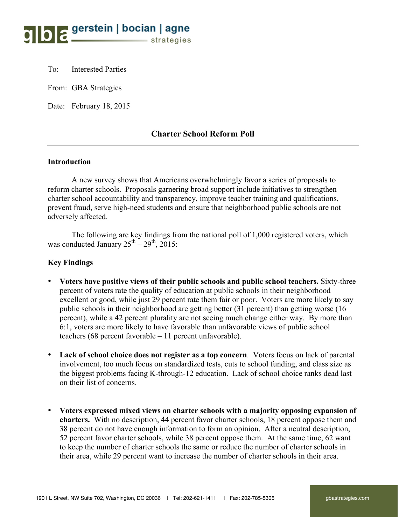

To: Interested Parties

From: GBA Strategies

Date: February 18, 2015

## **Charter School Reform Poll**

## **Introduction**

A new survey shows that Americans overwhelmingly favor a series of proposals to reform charter schools. Proposals garnering broad support include initiatives to strengthen charter school accountability and transparency, improve teacher training and qualifications, prevent fraud, serve high-need students and ensure that neighborhood public schools are not adversely affected.

The following are key findings from the national poll of 1,000 registered voters, which was conducted January  $25^{th} - 29^{th}$ ,  $2015$ .

## **Key Findings**

- **Voters have positive views of their public schools and public school teachers.** Sixty-three percent of voters rate the quality of education at public schools in their neighborhood excellent or good, while just 29 percent rate them fair or poor. Voters are more likely to say public schools in their neighborhood are getting better (31 percent) than getting worse (16 percent), while a 42 percent plurality are not seeing much change either way. By more than 6:1, voters are more likely to have favorable than unfavorable views of public school teachers (68 percent favorable – 11 percent unfavorable).
- **Lack of school choice does not register as a top concern**. Voters focus on lack of parental involvement, too much focus on standardized tests, cuts to school funding, and class size as the biggest problems facing K-through-12 education. Lack of school choice ranks dead last on their list of concerns.
- **Voters expressed mixed views on charter schools with a majority opposing expansion of charters.** With no description, 44 percent favor charter schools, 18 percent oppose them and 38 percent do not have enough information to form an opinion. After a neutral description, 52 percent favor charter schools, while 38 percent oppose them. At the same time, 62 want to keep the number of charter schools the same or reduce the number of charter schools in their area, while 29 percent want to increase the number of charter schools in their area.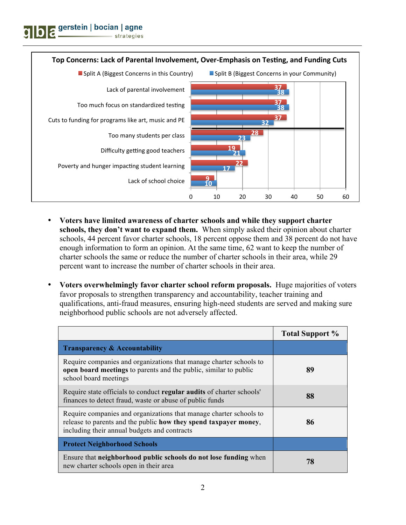

- **Voters have limited awareness of charter schools and while they support charter schools, they don't want to expand them.** When simply asked their opinion about charter schools, 44 percent favor charter schools, 18 percent oppose them and 38 percent do not have enough information to form an opinion. At the same time, 62 want to keep the number of charter schools the same or reduce the number of charter schools in their area, while 29 percent want to increase the number of charter schools in their area.
- **Voters overwhelmingly favor charter school reform proposals.** Huge majorities of voters favor proposals to strengthen transparency and accountability, teacher training and qualifications, anti-fraud measures, ensuring high-need students are served and making sure neighborhood public schools are not adversely affected.

|                                                                                                                                                                                        | Total Support % |
|----------------------------------------------------------------------------------------------------------------------------------------------------------------------------------------|-----------------|
| <b>Transparency &amp; Accountability</b>                                                                                                                                               |                 |
| Require companies and organizations that manage charter schools to<br>open board meetings to parents and the public, similar to public<br>school board meetings                        | 89              |
| Require state officials to conduct regular audits of charter schools'<br>finances to detect fraud, waste or abuse of public funds                                                      | 88              |
| Require companies and organizations that manage charter schools to<br>release to parents and the public how they spend taxpayer money,<br>including their annual budgets and contracts | 86              |
| <b>Protect Neighborhood Schools</b>                                                                                                                                                    |                 |
| Ensure that neighborhood public schools do not lose funding when<br>new charter schools open in their area                                                                             | 78              |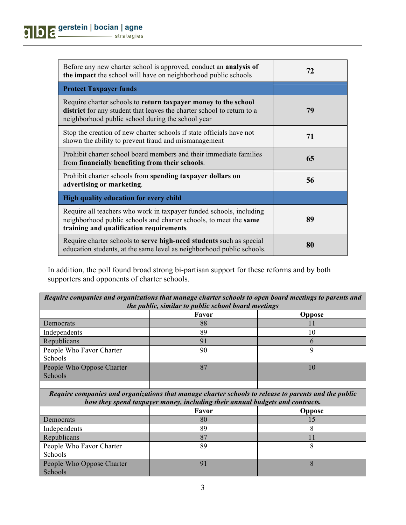Schools

| Before any new charter school is approved, conduct an <b>analysis of</b><br>the impact the school will have on neighborhood public schools                                                    | 72 |
|-----------------------------------------------------------------------------------------------------------------------------------------------------------------------------------------------|----|
| <b>Protect Taxpayer funds</b>                                                                                                                                                                 |    |
| Require charter schools to return taxpayer money to the school<br>district for any student that leaves the charter school to return to a<br>neighborhood public school during the school year | 79 |
| Stop the creation of new charter schools if state officials have not<br>shown the ability to prevent fraud and mismanagement                                                                  | 71 |
| Prohibit charter school board members and their immediate families<br>from financially benefiting from their schools.                                                                         | 65 |
| Prohibit charter schools from spending taxpayer dollars on<br>advertising or marketing.                                                                                                       | 56 |
| High quality education for every child                                                                                                                                                        |    |
| Require all teachers who work in taxpayer funded schools, including<br>neighborhood public schools and charter schools, to meet the same<br>training and qualification requirements           | 89 |
| Require charter schools to serve high-need students such as special<br>education students, at the same level as neighborhood public schools.                                                  | 80 |

In addition, the poll found broad strong bi-partisan support for these reforms and by both supporters and opponents of charter schools.

| Require companies and organizations that manage charter schools to open board meetings to parents and |                                                                                                      |        |
|-------------------------------------------------------------------------------------------------------|------------------------------------------------------------------------------------------------------|--------|
|                                                                                                       | the public, similar to public school board meetings                                                  |        |
|                                                                                                       | Favor                                                                                                | Oppose |
| Democrats                                                                                             | 88                                                                                                   | 11     |
| Independents                                                                                          | 89                                                                                                   | 10     |
| Republicans                                                                                           | 91                                                                                                   | 6      |
| People Who Favor Charter                                                                              | 90                                                                                                   | 9      |
| Schools                                                                                               |                                                                                                      |        |
| People Who Oppose Charter                                                                             | 87                                                                                                   | 10     |
| Schools                                                                                               |                                                                                                      |        |
|                                                                                                       |                                                                                                      |        |
|                                                                                                       | Require companies and organizations that manage charter schools to release to parents and the public |        |
|                                                                                                       | how they spend taxpayer money, including their annual budgets and contracts.                         |        |
|                                                                                                       | Favor                                                                                                | Oppose |
| Democrats                                                                                             | 80                                                                                                   | 15     |
| Independents                                                                                          | 89                                                                                                   | 8      |
| Republicans                                                                                           | 87                                                                                                   | 11     |
| People Who Favor Charter                                                                              | 89                                                                                                   | 8      |
| Schools                                                                                               |                                                                                                      |        |
| People Who Oppose Charter                                                                             | 91                                                                                                   | 8      |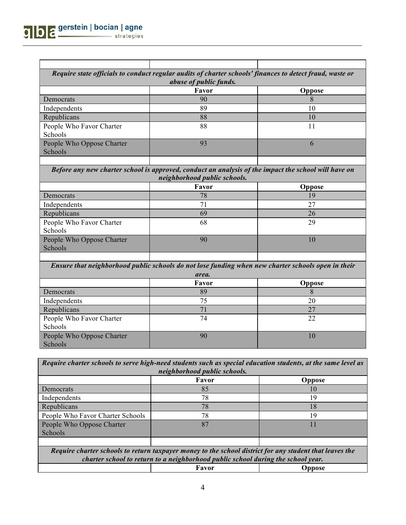| Require state officials to conduct regular audits of charter schools' finances to detect fraud, waste or<br>abuse of public funds.<br>Favor<br>90<br>Democrats<br>Independents<br>89<br>Republicans<br>88<br>People Who Favor Charter<br>88<br>Schools<br>People Who Oppose Charter<br>93<br>Schools<br>Before any new charter school is approved, conduct an analysis of the impact the school will have on<br>neighborhood public schools.<br>Favor<br>78<br>Democrats<br>Independents<br>71<br>69<br>Republicans<br>People Who Favor Charter<br>68<br>Schools<br>People Who Oppose Charter<br>90<br>Schools | Oppose<br>8<br>10<br>10<br>11<br>6<br>Oppose<br>19<br>27 |
|----------------------------------------------------------------------------------------------------------------------------------------------------------------------------------------------------------------------------------------------------------------------------------------------------------------------------------------------------------------------------------------------------------------------------------------------------------------------------------------------------------------------------------------------------------------------------------------------------------------|----------------------------------------------------------|
|                                                                                                                                                                                                                                                                                                                                                                                                                                                                                                                                                                                                                |                                                          |
|                                                                                                                                                                                                                                                                                                                                                                                                                                                                                                                                                                                                                |                                                          |
|                                                                                                                                                                                                                                                                                                                                                                                                                                                                                                                                                                                                                |                                                          |
|                                                                                                                                                                                                                                                                                                                                                                                                                                                                                                                                                                                                                |                                                          |
|                                                                                                                                                                                                                                                                                                                                                                                                                                                                                                                                                                                                                |                                                          |
|                                                                                                                                                                                                                                                                                                                                                                                                                                                                                                                                                                                                                |                                                          |
|                                                                                                                                                                                                                                                                                                                                                                                                                                                                                                                                                                                                                |                                                          |
|                                                                                                                                                                                                                                                                                                                                                                                                                                                                                                                                                                                                                |                                                          |
|                                                                                                                                                                                                                                                                                                                                                                                                                                                                                                                                                                                                                |                                                          |
|                                                                                                                                                                                                                                                                                                                                                                                                                                                                                                                                                                                                                |                                                          |
|                                                                                                                                                                                                                                                                                                                                                                                                                                                                                                                                                                                                                |                                                          |
|                                                                                                                                                                                                                                                                                                                                                                                                                                                                                                                                                                                                                |                                                          |
|                                                                                                                                                                                                                                                                                                                                                                                                                                                                                                                                                                                                                |                                                          |
|                                                                                                                                                                                                                                                                                                                                                                                                                                                                                                                                                                                                                |                                                          |
|                                                                                                                                                                                                                                                                                                                                                                                                                                                                                                                                                                                                                | 26                                                       |
|                                                                                                                                                                                                                                                                                                                                                                                                                                                                                                                                                                                                                | 29                                                       |
|                                                                                                                                                                                                                                                                                                                                                                                                                                                                                                                                                                                                                |                                                          |
|                                                                                                                                                                                                                                                                                                                                                                                                                                                                                                                                                                                                                | 10                                                       |
|                                                                                                                                                                                                                                                                                                                                                                                                                                                                                                                                                                                                                |                                                          |
|                                                                                                                                                                                                                                                                                                                                                                                                                                                                                                                                                                                                                |                                                          |
| Ensure that neighborhood public schools do not lose funding when new charter schools open in their<br>area.                                                                                                                                                                                                                                                                                                                                                                                                                                                                                                    |                                                          |
| Favor                                                                                                                                                                                                                                                                                                                                                                                                                                                                                                                                                                                                          | Oppose                                                   |
| 89<br>Democrats                                                                                                                                                                                                                                                                                                                                                                                                                                                                                                                                                                                                | 8                                                        |
| Independents<br>75                                                                                                                                                                                                                                                                                                                                                                                                                                                                                                                                                                                             | 20                                                       |
| $\overline{71}$<br>Republicans                                                                                                                                                                                                                                                                                                                                                                                                                                                                                                                                                                                 | 27                                                       |
| People Who Favor Charter<br>74                                                                                                                                                                                                                                                                                                                                                                                                                                                                                                                                                                                 | 22                                                       |
| Schools                                                                                                                                                                                                                                                                                                                                                                                                                                                                                                                                                                                                        |                                                          |
| People Who Oppose Charter<br>90<br>Schools                                                                                                                                                                                                                                                                                                                                                                                                                                                                                                                                                                     |                                                          |

| Require charter schools to serve high-need students such as special education students, at the same level as |       |               |
|--------------------------------------------------------------------------------------------------------------|-------|---------------|
| neighborhood public schools.                                                                                 |       |               |
|                                                                                                              | Favor | <b>Oppose</b> |
| Democrats                                                                                                    | 85    | 10            |
| Independents                                                                                                 | 78    | 19            |
| Republicans                                                                                                  | 78    | 18            |
| People Who Favor Charter Schools                                                                             | 78    | 19            |
| People Who Oppose Charter                                                                                    | 87    | 11            |
| Schools                                                                                                      |       |               |
|                                                                                                              |       |               |
| Require charter schools to return taxpayer money to the school district for any student that leaves the      |       |               |
| charter school to return to a neighborhood public school during the school year.                             |       |               |
|                                                                                                              | Favor | Oppose        |